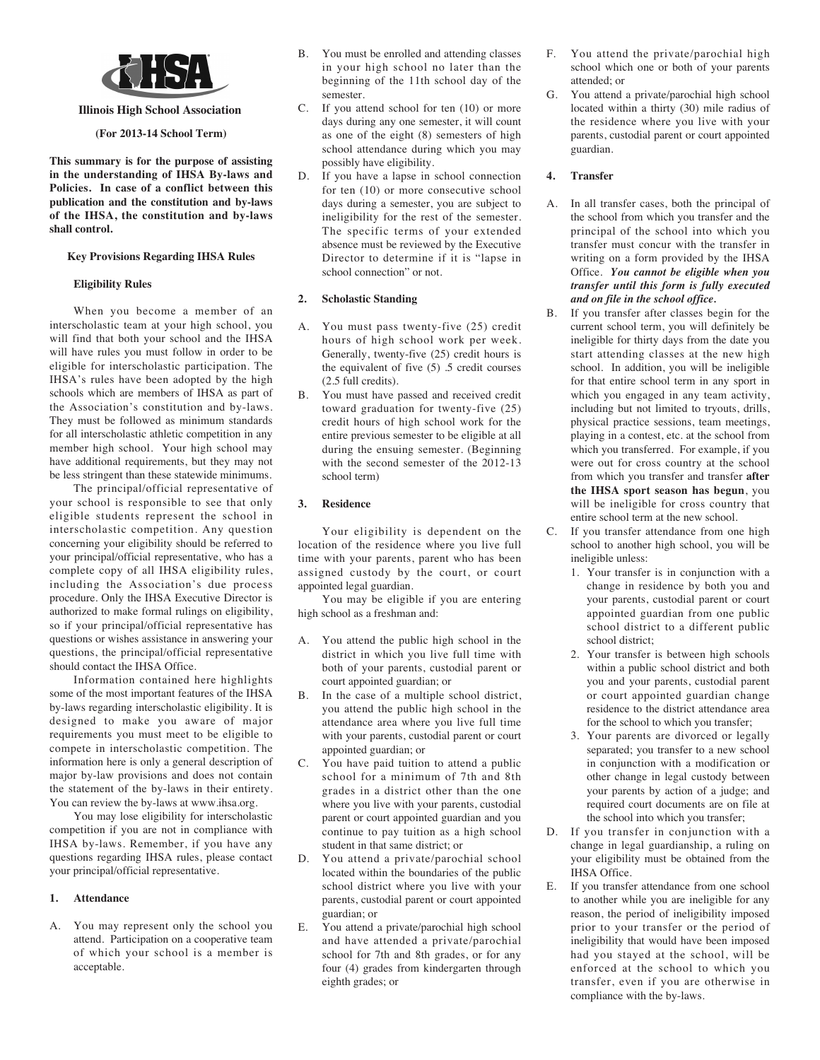

## **Illinois High School Association**

### **(For 2013-14 School Term)**

**This summary is for the purpose of assisting in the understanding of IHSA By-laws and Policies. In case of a conflict between this publication and the constitution and by-laws of the IHSA, the constitution and by-laws shall control.**

#### **Key Provisions Regarding IHSA Rules**

#### **Eligibility Rules**

When you become a member of an interscholastic team at your high school, you will find that both your school and the IHSA will have rules you must follow in order to be eligible for interscholastic participation. The IHSA's rules have been adopted by the high schools which are members of IHSA as part of the Association's constitution and by-laws. They must be followed as minimum standards for all interscholastic athletic competition in any member high school. Your high school may have additional requirements, but they may not be less stringent than these statewide minimums.

The principal/official representative of your school is responsible to see that only eligible students represent the school in interscholastic competition. Any question concerning your eligibility should be referred to your principal/official representative, who has a complete copy of all IHSA eligibility rules, including the Association's due process procedure. Only the IHSA Executive Director is authorized to make formal rulings on eligibility, so if your principal/official representative has questions or wishes assistance in answering your questions, the principal/official representative should contact the IHSA Office.

Information contained here highlights some of the most important features of the IHSA by-laws regarding interscholastic eligibility. It is designed to make you aware of major requirements you must meet to be eligible to compete in interscholastic competition. The information here is only a general description of major by-law provisions and does not contain the statement of the by-laws in their entirety. You can review the by-laws at www.ihsa.org.

You may lose eligibility for interscholastic competition if you are not in compliance with IHSA by-laws. Remember, if you have any questions regarding IHSA rules, please contact your principal/official representative.

### **1. Attendance**

A. You may represent only the school you attend. Participation on a cooperative team of which your school is a member is acceptable.

- B. You must be enrolled and attending classes in your high school no later than the beginning of the 11th school day of the semester.
- C. If you attend school for ten (10) or more days during any one semester, it will count as one of the eight (8) semesters of high school attendance during which you may possibly have eligibility.
- D. If you have a lapse in school connection for ten (10) or more consecutive school days during a semester, you are subject to ineligibility for the rest of the semester. The specific terms of your extended absence must be reviewed by the Executive Director to determine if it is "lapse in school connection" or not.

### **2. Scholastic Standing**

- A. You must pass twenty-five (25) credit hours of high school work per week. Generally, twenty-five (25) credit hours is the equivalent of five (5) .5 credit courses (2.5 full credits).
- B. You must have passed and received credit toward graduation for twenty-five (25) credit hours of high school work for the entire previous semester to be eligible at all during the ensuing semester. (Beginning with the second semester of the 2012-13 school term)

### **3. Residence**

Your eligibility is dependent on the location of the residence where you live full time with your parents, parent who has been assigned custody by the court, or court appointed legal guardian.

You may be eligible if you are entering high school as a freshman and:

- A. You attend the public high school in the district in which you live full time with both of your parents, custodial parent or court appointed guardian; or
- B. In the case of a multiple school district, you attend the public high school in the attendance area where you live full time with your parents, custodial parent or court appointed guardian; or
- C. You have paid tuition to attend a public school for a minimum of 7th and 8th grades in a district other than the one where you live with your parents, custodial parent or court appointed guardian and you continue to pay tuition as a high school student in that same district; or
- You attend a private/parochial school located within the boundaries of the public school district where you live with your parents, custodial parent or court appointed guardian; or
- E. You attend a private/parochial high school and have attended a private/parochial school for 7th and 8th grades, or for any four (4) grades from kindergarten through eighth grades; or
- F. You attend the private/parochial high school which one or both of your parents attended; or
- G. You attend a private/parochial high school located within a thirty (30) mile radius of the residence where you live with your parents, custodial parent or court appointed guardian.

### **4. Transfer**

- A. In all transfer cases, both the principal of the school from which you transfer and the principal of the school into which you transfer must concur with the transfer in writing on a form provided by the IHSA Office. *You cannot be eligible when you transfer until this form is fully executed and on file in the school office.*
- B. If you transfer after classes begin for the current school term, you will definitely be ineligible for thirty days from the date you start attending classes at the new high school. In addition, you will be ineligible for that entire school term in any sport in which you engaged in any team activity, including but not limited to tryouts, drills, physical practice sessions, team meetings, playing in a contest, etc. at the school from which you transferred. For example, if you were out for cross country at the school from which you transfer and transfer **after the IHSA sport season has begun**, you will be ineligible for cross country that entire school term at the new school.

C. If you transfer attendance from one high school to another high school, you will be ineligible unless:

- 1. Your transfer is in conjunction with a change in residence by both you and your parents, custodial parent or court appointed guardian from one public school district to a different public school district;
- 2. Your transfer is between high schools within a public school district and both you and your parents, custodial parent or court appointed guardian change residence to the district attendance area for the school to which you transfer;
- 3. Your parents are divorced or legally separated; you transfer to a new school in conjunction with a modification or other change in legal custody between your parents by action of a judge; and required court documents are on file at the school into which you transfer;
- D. If you transfer in conjunction with a change in legal guardianship, a ruling on your eligibility must be obtained from the IHSA Office.
- E. If you transfer attendance from one school to another while you are ineligible for any reason, the period of ineligibility imposed prior to your transfer or the period of ineligibility that would have been imposed had you stayed at the school, will be enforced at the school to which you transfer, even if you are otherwise in compliance with the by-laws.